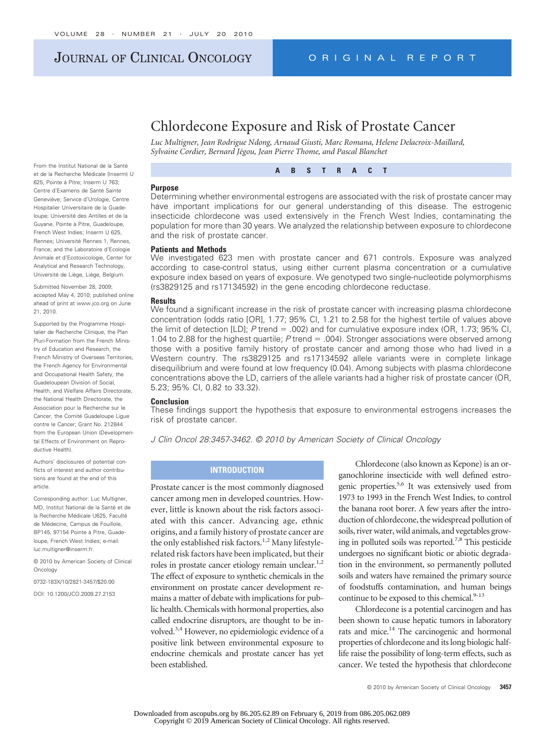# JOURNAL OF CLINICAL ONCOLOGY ORIGINAL REPORT

# Chlordecone Exposure and Risk of Prostate Cancer

*Luc Multigner, Jean Rodrigue Ndong, Arnaud Giusti, Marc Romana, Helene Delacroix-Maillard, Sylvaine Cordier, Bernard Je´gou, Jean Pierre Thome, and Pascal Blanchet*

**ABSTRACT**

#### **Purpose**

Determining whether environmental estrogens are associated with the risk of prostate cancer may have important implications for our general understanding of this disease. The estrogenic insecticide chlordecone was used extensively in the French West Indies, contaminating the population for more than 30 years. We analyzed the relationship between exposure to chlordecone and the risk of prostate cancer.

#### **Patients and Methods**

We investigated 623 men with prostate cancer and 671 controls. Exposure was analyzed according to case-control status, using either current plasma concentration or a cumulative exposure index based on years of exposure. We genotyped two single-nucleotide polymorphisms (rs3829125 and rs17134592) in the gene encoding chlordecone reductase.

#### **Results**

We found a significant increase in the risk of prostate cancer with increasing plasma chlordecone concentration (odds ratio [OR], 1.77; 95% CI, 1.21 to 2.58 for the highest tertile of values above the limit of detection [LD]; *P* trend = .002) and for cumulative exposure index (OR, 1.73; 95% CI, 1.04 to 2.88 for the highest quartile; *P* trend = .004). Stronger associations were observed among those with a positive family history of prostate cancer and among those who had lived in a Western country. The rs3829125 and rs17134592 allele variants were in complete linkage disequilibrium and were found at low frequency (0.04). Among subjects with plasma chlordecone concentrations above the LD, carriers of the allele variants had a higher risk of prostate cancer (OR, 5.23; 95% CI, 0.82 to 33.32).

#### **Conclusion**

These findings support the hypothesis that exposure to environmental estrogens increases the risk of prostate cancer.

*J Clin Oncol 28:3457-3462. © 2010 by American Society of Clinical Oncology*

## **INTRODUCTION**

Prostate cancer is the most commonly diagnosed cancer among men in developed countries. However, little is known about the risk factors associated with this cancer. Advancing age, ethnic origins, and a family history of prostate cancer are the only established risk factors.<sup>1,2</sup> Many lifestylerelated risk factors have been implicated, but their roles in prostate cancer etiology remain unclear.<sup>1,2</sup> The effect of exposure to synthetic chemicals in the environment on prostate cancer development remains a matter of debate with implications for public health. Chemicals with hormonal properties, also called endocrine disruptors, are thought to be involved.<sup>3,4</sup> However, no epidemiologic evidence of a positive link between environmental exposure to endocrine chemicals and prostate cancer has yet been established.

Chlordecone (also known as Kepone) is an organochlorine insecticide with well defined estrogenic properties.<sup>5,6</sup> It was extensively used from 1973 to 1993 in the French West Indies, to control the banana root borer. A few years after the introduction of chlordecone, the widespread pollution of soils, river water, wild animals, and vegetables growing in polluted soils was reported.7,8 This pesticide undergoes no significant biotic or abiotic degradation in the environment, so permanently polluted soils and waters have remained the primary source of foodstuffs contamination, and human beings continue to be exposed to this chemical.<sup>9-13</sup>

Chlordecone is a potential carcinogen and has been shown to cause hepatic tumors in laboratory rats and mice.<sup>14</sup> The carcinogenic and hormonal properties of chlordecone and its long biologic halflife raise the possibility of long-term effects, such as cancer. We tested the hypothesis that chlordecone

© 2010 by American Society of Clinical Oncology **3457**

From the Institut National de la Santé et de la Recherche Médicale (Inserm) U 625, Pointe à Pitre; Inserm U 763; Centre d'Examens de Santé Sainte Geneviève: Service d'Urologie, Centre Hospitalier Universitaire de la Guadeloupe; Université des Antilles et de la Guyane, Pointe à Pitre, Guadeloupe, French West Indies; Inserm U 625, Rennes; Université Rennes 1, Rennes, France; and the Laboratoire d'Ecologie Animale et d'Ecotoxicologie, Center for Analytical and Research Technology, Université de Liège, Liège, Belgium.

Submitted November 28, 2009; accepted May 4, 2010; published online ahead of print at www.jco.org on June 21, 2010.

Supported by the Programme Hospitalier de Recherche Clinique, the Plan Pluri-Formation from the French Ministry of Education and Research, the French Ministry of Overseas Territories, the French Agency for Environmental and Occupational Health Safety, the Guadeloupean Division of Social, Health, and Welfare Affairs Directorate, the National Health Directorate, the Association pour la Recherche sur le Cancer, the Comité Guadeloupe Lique contre le Cancer; Grant No. 212844 from the European Union (Developmental Effects of Environment on Reproductive Health).

Authors' disclosures of potential conflicts of interest and author contributions are found at the end of this article.

Corresponding author: Luc Multigner, MD, Institut National de la Santé et de la Recherche Médicale U625, Faculté de Médecine, Campus de Fouillole. BP145, 97154 Pointe a` Pitre, Guadeloupe, French West Indies; e-mail: luc.multigner@inserm.fr.

© 2010 by American Society of Clinical Oncology

0732-183X/10/2821-3457/\$20.00

DOI: 10.1200/JCO.2009.27.2153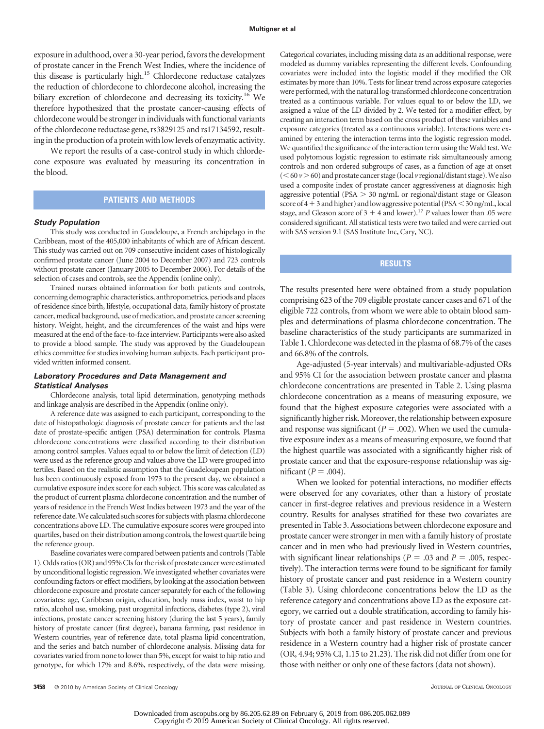exposure in adulthood, over a 30-year period, favors the development of prostate cancer in the French West Indies, where the incidence of this disease is particularly high.15 Chlordecone reductase catalyzes the reduction of chlordecone to chlordecone alcohol, increasing the biliary excretion of chlordecone and decreasing its toxicity.<sup>16</sup> We therefore hypothesized that the prostate cancer-causing effects of chlordecone would be stronger in individuals with functional variants of the chlordecone reductase gene, rs3829125 and rs17134592, resulting in the production of a protein with low levels of enzymatic activity.

We report the results of a case-control study in which chlordecone exposure was evaluated by measuring its concentration in the blood.

## **PATIENTS AND METHODS**

#### *Study Population*

This study was conducted in Guadeloupe, a French archipelago in the Caribbean, most of the 405,000 inhabitants of which are of African descent. This study was carried out on 709 consecutive incident cases of histologically confirmed prostate cancer (June 2004 to December 2007) and 723 controls without prostate cancer (January 2005 to December 2006). For details of the selection of cases and controls, see the Appendix (online only).

Trained nurses obtained information for both patients and controls, concerning demographic characteristics, anthropometrics, periods and places of residence since birth, lifestyle, occupational data, family history of prostate cancer, medical background, use of medication, and prostate cancer screening history. Weight, height, and the circumferences of the waist and hips were measured at the end of the face-to-face interview. Participants were also asked to provide a blood sample. The study was approved by the Guadeloupean ethics committee for studies involving human subjects. Each participant provided written informed consent.

### *Laboratory Procedures and Data Management and Statistical Analyses*

Chlordecone analysis, total lipid determination, genotyping methods and linkage analysis are described in the Appendix (online only).

A reference date was assigned to each participant, corresponding to the date of histopathologic diagnosis of prostate cancer for patients and the last date of prostate-specific antigen (PSA) determination for controls. Plasma chlordecone concentrations were classified according to their distribution among control samples. Values equal to or below the limit of detection (LD) were used as the reference group and values above the LD were grouped into tertiles. Based on the realistic assumption that the Guadeloupean population has been continuously exposed from 1973 to the present day, we obtained a cumulative exposure index score for each subject. This score was calculated as the product of current plasma chlordecone concentration and the number of years of residence in the French West Indies between 1973 and the year of the reference date.We calculated such scoresfor subjectswith plasma chlordecone concentrations above LD. The cumulative exposure scores were grouped into quartiles, based on their distribution among controls, the lowest quartile being the reference group.

Baseline covariates were compared between patients and controls (Table 1).Odds ratios (OR) and 95%CIsfor the risk of prostate cancerwere estimated by unconditional logistic regression. We investigated whether covariates were confounding factors or effect modifiers, by looking at the association between chlordecone exposure and prostate cancer separately for each of the following covariates: age, Caribbean origin, education, body mass index, waist to hip ratio, alcohol use, smoking, past urogenital infections, diabetes (type 2), viral infections, prostate cancer screening history (during the last 5 years), family history of prostate cancer (first degree), banana farming, past residence in Western countries, year of reference date, total plasma lipid concentration, and the series and batch number of chlordecone analysis. Missing data for covariates varied from none to lower than 5%, except for waist to hip ratio and genotype, for which 17% and 8.6%, respectively, of the data were missing.

Categorical covariates, including missing data as an additional response, were modeled as dummy variables representing the different levels. Confounding covariates were included into the logistic model if they modified the OR estimates by more than 10%. Tests for linear trend across exposure categories were performed, with the natural log-transformed chlordecone concentration treated as a continuous variable. For values equal to or below the LD, we assigned a value of the LD divided by 2. We tested for a modifier effect, by creating an interaction term based on the cross product of these variables and exposure categories (treated as a continuous variable). Interactions were examined by entering the interaction terms into the logistic regression model. We quantified the significance of the interaction term using the Wald test. We used polytomous logistic regression to estimate risk simultaneously among controls and non ordered subgroups of cases, as a function of age at onset  $(<$  60  $\nu$  > 60) and prostate cancer stage (local  $\nu$  regional/distant stage). We also used a composite index of prostate cancer aggressiveness at diagnosis: high aggressive potential (PSA  $>$  30 ng/mL or regional/distant stage or Gleason score of  $4+3$  and higher) and low aggressive potential (PSA  $<$  30 ng/mL, local stage, and Gleason score of  $3 + 4$  and lower).<sup>17</sup> *P* values lower than .05 were considered significant. All statistical tests were two tailed and were carried out with SAS version 9.1 (SAS Institute Inc, Cary, NC).

### **RESULTS**

The results presented here were obtained from a study population comprising 623 of the 709 eligible prostate cancer cases and 671 of the eligible 722 controls, from whom we were able to obtain blood samples and determinations of plasma chlordecone concentration. The baseline characteristics of the study participants are summarized in Table 1. Chlordecone was detected in the plasma of 68.7% of the cases and 66.8% of the controls.

Age-adjusted (5-year intervals) and multivariable-adjusted ORs and 95% CI for the association between prostate cancer and plasma chlordecone concentrations are presented in Table 2. Using plasma chlordecone concentration as a means of measuring exposure, we found that the highest exposure categories were associated with a significantly higher risk. Moreover, the relationship between exposure and response was significant ( $P = .002$ ). When we used the cumulative exposure index as a means of measuring exposure, we found that the highest quartile was associated with a significantly higher risk of prostate cancer and that the exposure-response relationship was significant  $(P = .004)$ .

When we looked for potential interactions, no modifier effects were observed for any covariates, other than a history of prostate cancer in first-degree relatives and previous residence in a Western country. Results for analyses stratified for these two covariates are presented in Table 3. Associations between chlordecone exposure and prostate cancer were stronger in men with a family history of prostate cancer and in men who had previously lived in Western countries, with significant linear relationships ( $P = .03$  and  $P = .005$ , respectively). The interaction terms were found to be significant for family history of prostate cancer and past residence in a Western country (Table 3). Using chlordecone concentrations below the LD as the reference category and concentrations above LD as the exposure category, we carried out a double stratification, according to family history of prostate cancer and past residence in Western countries. Subjects with both a family history of prostate cancer and previous residence in a Western country had a higher risk of prostate cancer (OR, 4.94; 95% CI, 1.15 to 21.23). The risk did not differ from one for those with neither or only one of these factors (data not shown).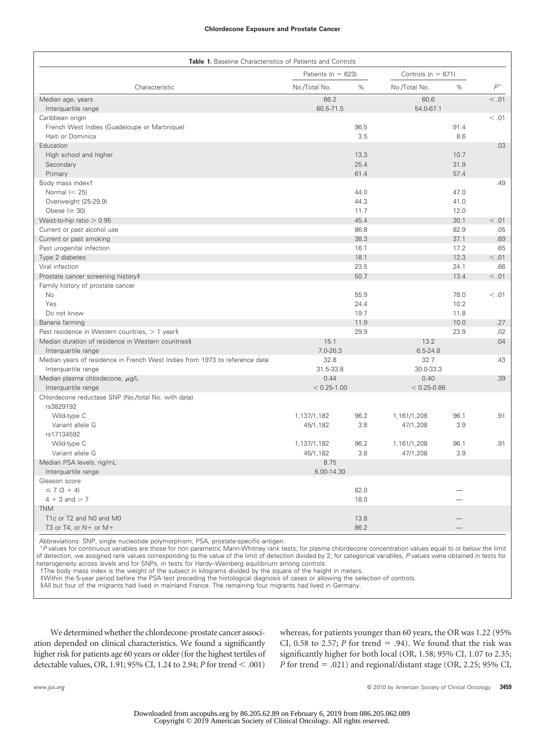| Table 1. Baseline Characteristics of Patients and Controls                  |                        |      |                        |      |        |
|-----------------------------------------------------------------------------|------------------------|------|------------------------|------|--------|
|                                                                             | Patients ( $n = 623$ ) |      | Controls ( $n = 671$ ) |      |        |
| Characteristic                                                              | No./Total No.          | %    | No./Total No.          | %    | $P^*$  |
| Median age, years                                                           | 66.2                   |      | 60.6                   |      | < .01  |
| Interquartile range                                                         | 60.5-71.5              |      | 54.0-67.1              |      |        |
| Caribbean origin                                                            |                        |      |                        |      | < 0.01 |
| French West Indies (Guadeloupe or Martinique)                               |                        | 96.5 |                        | 91.4 |        |
| Haiti or Dominica                                                           |                        | 3.5  |                        | 8.6  |        |
| Education                                                                   |                        |      |                        |      | .03    |
| High school and higher                                                      |                        | 13.3 |                        | 10.7 |        |
| Secondary                                                                   |                        | 25.4 |                        | 31.9 |        |
| Primary                                                                     |                        | 61.4 |                        | 57.4 |        |
| Body mass indext                                                            |                        |      |                        |      | .49    |
| Normal $(< 25)$                                                             |                        | 44.0 |                        | 47.0 |        |
| Overweight (25-29.9)                                                        |                        | 44.3 |                        | 41.0 |        |
| Obese $(\geq 30)$                                                           |                        | 11.7 |                        | 12.0 |        |
| Waist-to-hip ratio $> 0.95$                                                 |                        | 45.4 |                        | 30.1 | < 0.01 |
| Current or past alcohol use                                                 |                        | 86.8 |                        | 82.9 | .05    |
| Current or past smoking                                                     |                        | 38.3 |                        | 37.1 | .69    |
| Past urogenital infection                                                   |                        | 16.1 |                        | 17.2 | .65    |
| Type 2 diabetes                                                             |                        | 18.1 |                        | 12.3 | < .01  |
| Viral infection                                                             |                        | 23.5 |                        | 24.1 | .66    |
| Prostate cancer screening history#                                          |                        | 50.7 |                        | 13.4 | < .01  |
| Family history of prostate cancer                                           |                        |      |                        |      |        |
| No                                                                          |                        | 55.9 |                        | 78.0 | < 0.01 |
| Yes                                                                         |                        | 24.4 |                        | 10.2 |        |
| Do not know                                                                 |                        | 19.7 |                        | 11.8 |        |
| Banana farming                                                              |                        | 11.9 |                        | 10.0 | .27    |
| Past residence in Western countries, > 1 year§                              |                        | 29.9 |                        | 23.9 | .02    |
| Median duration of residence in Western countries§                          | 15.1                   |      | 13.2                   |      | .04    |
| Interquartile range                                                         | $7.0 - 26.3$           |      | $6.5 - 24.8$           |      |        |
| Median years of residence in French West Indies from 1973 to reference date | 32.8                   |      | 32.7                   |      | .43    |
| Interquartile range                                                         | 31.5-33.8              |      | 30.0-33.3              |      |        |
| Median plasma chlordecone, µg/L                                             | 0.44                   |      | 0.40                   |      | .39    |
| Interquartile range                                                         | $< 0.25 - 1.00$        |      | $< 0.25 - 0.86$        |      |        |
| Chlordecone reductase SNP (No./total No. with data)                         |                        |      |                        |      |        |
| rs3829192                                                                   |                        |      |                        |      |        |
| Wild-type C                                                                 | 1,137/1,182            | 96.2 | 1,161/1,208            | 96.1 | .91    |
| Variant allele G                                                            | 45/1,182               | 3.8  | 47/1,208               | 3.9  |        |
| rs17134592                                                                  |                        |      |                        |      |        |
| Wild-type C                                                                 | 1,137/1,182            | 96.2 | 1,161/1,208            | 96.1 | .91    |
| Variant allele G                                                            | 45/1,182               | 3.8  | 47/1,208               | 3.9  |        |
| Median PSA levels, ng/mL                                                    | 8.75                   |      |                        |      |        |
| Interquartile range                                                         | 6.00-14.30             |      |                        |      |        |
| Gleason score                                                               |                        |      |                        |      |        |
| $\leq$ 7 (3 + 4)                                                            |                        | 82.0 |                        |      |        |
| $4 + 3$ and $> 7$                                                           |                        | 18.0 |                        |      |        |
| <b>TNM</b>                                                                  |                        |      |                        |      |        |
| T1c or T2 and N0 and M0                                                     |                        | 13.8 |                        |      |        |
| T3 or T4, or $N+$ or $M+$                                                   |                        | 86.2 |                        |      |        |

Abbreviations: SNP, single nucleotide polymorphism; PSA, prostate-specific antigen.

 *P* values for continuous variables are those for non parametric Mann-Whitney rank tests; for plasma chlordecone concentration values equal to or below the limit of detection, we assigned rank values corresponding to the value of the limit of detection divided by 2; for categorical variables, P values were obtained in tests for heterogeneity across levels and for SNPs, in tests for Hardy–Weinberg equilibrium among controls.

†The body mass index is the weight of the subject in kilograms divided by the square of the height in meters.

‡Within the 5-year period before the PSA test preceding the histological diagnosis of cases or allowing the selection of controls.

§All but four of the migrants had lived in mainland France. The remaining four migrants had lived in Germany.

We determined whether the chlordecone-prostate cancer association depended on clinical characteristics. We found a significantly higher risk for patients age 60 years or older (for the highest tertiles of detectable values, OR, 1.91; 95% CI, 1.24 to 2.94; *P* for trend < .001)

whereas, for patients younger than 60 years, the OR was 1.22 (95% CI, 0.58 to 2.57; *P* for trend  $= .94$ ). We found that the risk was significantly higher for both local (OR, 1.58; 95% CI, 1.07 to 2.35; *P* for trend  $= .021$ ) and regional/distant stage (OR, 2.25; 95% CI,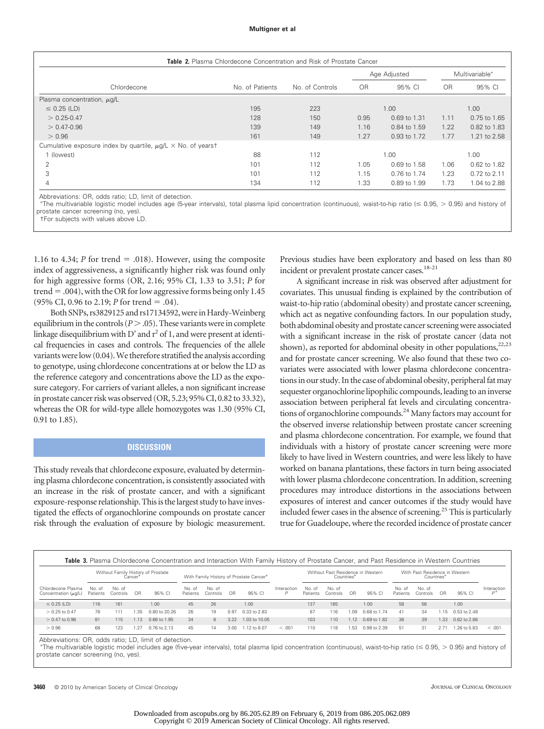|                                                                         |                 |                 |                     | Age Adjusted | Multivariable* |              |  |
|-------------------------------------------------------------------------|-----------------|-----------------|---------------------|--------------|----------------|--------------|--|
| Chlordecone                                                             | No. of Patients | No. of Controls | <b>OR</b><br>95% CI |              | OR             | 95% CI       |  |
| Plasma concentration, $\mu q/L$                                         |                 |                 |                     |              |                |              |  |
| $\leq$ 0.25 (LD)                                                        | 195             | 223             |                     | 1.00         |                | 1.00         |  |
| $> 0.25 - 0.47$                                                         | 128             | 150             | 0.95                | 0.69 to 1.31 | 1.11           | 0.75 to 1.65 |  |
| $> 0.47 - 0.96$                                                         | 139             | 149             | 1.16                | 0.84 to 1.59 | 1.22           | 0.82 to 1.83 |  |
| > 0.96                                                                  | 161             | 149             | 1.27                | 0.93 to 1.72 | 1.77           | 1.21 to 2.58 |  |
| Cumulative exposure index by quartile, $\mu$ g/L $\times$ No. of yearst |                 |                 |                     |              |                |              |  |
| 1 (lowest)                                                              | 88              | 112             |                     | 1.00         |                | 1.00         |  |
| 2                                                                       | 101             | 112             | 1.05                | 0.69 to 1.58 | 1.06           | 0.62 to 1.82 |  |
| 3                                                                       | 101             | 112             | 1.15                | 0.76 to 1.74 | 1.23           | 0.72 to 2.11 |  |
| 4                                                                       | 134             | 112             | 1.33                | 0.89 to 1.99 | 1.73           | 1.04 to 2.88 |  |

Abbreviations: OR, odds ratio; LD, limit of detection.

\*The multivariable logistic model includes age (5-year intervals), total plasma lipid concentration (continuous), waist-to-hip ratio (≤ 0.95, > 0.95) and history of prostate cancer screening (no, yes).

†For subjects with values above LD.

1.16 to 4.34; *P* for trend  $= .018$ ). However, using the composite index of aggressiveness, a significantly higher risk was found only for high aggressive forms (OR, 2.16; 95% CI, 1.33 to 3.51; *P* for trend  $= .004$ ), with the OR for low aggressive forms being only 1.45 (95% CI, 0.96 to 2.19; *P* for trend = .04).

Both SNPs, rs3829125 and rs17134592,were in Hardy-Weinberg equilibrium in the controls ( $P > .05$ ). These variants were in complete linkage disequilibrium with D' and  $r^2$  of 1, and were present at identical frequencies in cases and controls. The frequencies of the allele variants were low (0.04).We therefore stratified the analysis according to genotype, using chlordecone concentrations at or below the LD as the reference category and concentrations above the LD as the exposure category. For carriers of variant alleles, a non significant increase in prostate cancer risk was observed (OR, 5.23; 95% CI, 0.82 to 33.32), whereas the OR for wild-type allele homozygotes was 1.30 (95% CI, 0.91 to 1.85).

## **DISCUSSION**

This study reveals that chlordecone exposure, evaluated by determining plasma chlordecone concentration, is consistently associated with an increase in the risk of prostate cancer, and with a significant exposure-response relationship. This is the largest study to have investigated the effects of organochlorine compounds on prostate cancer risk through the evaluation of exposure by biologic measurement.

Previous studies have been exploratory and based on less than 80 incident or prevalent prostate cancer cases.<sup>18-21</sup>

A significant increase in risk was observed after adjustment for covariates. This unusual finding is explained by the contribution of waist-to-hip ratio (abdominal obesity) and prostate cancer screening, which act as negative confounding factors. In our population study, both abdominal obesity and prostate cancer screening were associated with a significant increase in the risk of prostate cancer (data not shown), as reported for abdominal obesity in other populations,<sup>22,23</sup> and for prostate cancer screening. We also found that these two covariates were associated with lower plasma chlordecone concentrations in our study. In the case of abdominal obesity, peripheral fat may sequester organochlorine lipophilic compounds, leading to an inverse association between peripheral fat levels and circulating concentrations of organochlorine compounds.<sup>24</sup> Many factors may account for the observed inverse relationship between prostate cancer screening and plasma chlordecone concentration. For example, we found that individuals with a history of prostate cancer screening were more likely to have lived in Western countries, and were less likely to have worked on banana plantations, these factors in turn being associated with lower plasma chlordecone concentration. In addition, screening procedures may introduce distortions in the associations between exposures of interest and cancer outcomes if the study would have included fewer cases in the absence of screening.25 This is particularly true for Guadeloupe, where the recorded incidence of prostate cancer

| Table 3. Plasma Chlordecone Concentration and Interaction With Family History of Prostate Cancer, and Past Residence in Western Countries<br>Without Family History of Prostate<br>With Family History of Prostate Cancer®<br>Cancer |                    |                    |      |                   |                    | Without Past Residence in Western<br>Countries <sup>*</sup> |      |               | With Past Residence in Western<br>Countries' |                           |                    |      |              |                    |                    |         |              |                   |
|--------------------------------------------------------------------------------------------------------------------------------------------------------------------------------------------------------------------------------------|--------------------|--------------------|------|-------------------|--------------------|-------------------------------------------------------------|------|---------------|----------------------------------------------|---------------------------|--------------------|------|--------------|--------------------|--------------------|---------|--------------|-------------------|
| Chlordecone Plasma<br>Concentration (ug/L)                                                                                                                                                                                           | No. of<br>Patients | No. of<br>Controls | OR   | 95% CI            | No. of<br>Patients | No. of<br>Controls                                          | OR   | 95% CI        | Interaction                                  | No. of<br><b>Patients</b> | No. of<br>Controls | - OR | 95% CL       | No. of<br>Patients | No. of<br>Controls | OR      | 95% CI       | Interaction<br>D* |
| $\leq$ 0.25 (LD)                                                                                                                                                                                                                     | 116                | 161                |      | 1.00              | 45                 | 26                                                          |      | 1.00          |                                              | 137                       | 165                |      | 1.00         | 58                 | 56                 |         | 1.00         |                   |
| $> 0.25$ to 0.47                                                                                                                                                                                                                     | 78                 | 111                | .35  | 0.80 to 20.26     | 26                 | 19                                                          | 0.97 | 0.33 to 2.83  |                                              | 87                        | 116                | .09  | 0.68 to 1.74 | 41                 | 34                 | $.15 -$ | 0.53 to 2.48 |                   |
| $> 0.47$ to 0.96                                                                                                                                                                                                                     | 81                 | 115                | 1.13 | 0.66 to 1.95      | 34                 | 8                                                           | 3.22 | 1.03 to 10.05 |                                              | 103                       | 110                | 1.12 | 0.69 to 1.82 | 36                 | 39                 | 1.33    | 0.62 to 2.86 |                   |
| > 0.96<br>.                                                                                                                                                                                                                          | 68                 | 123                | 1.27 | 0.76 to 2.13<br>. | 45                 | 14                                                          | 3.00 | 1.12 to 8.07  | < 0.01                                       | 110                       | 118                | .53  | 0.98 to 2.39 | 51                 | 31                 | 271     | 1.26 to 5.83 | < 0.001           |

Abbreviations: OR, odds ratio; LD, limit of detection.

\*The multivariable logistic model includes age (five-year intervals), total plasma lipid concentration (continuous), waist-to-hip ratio (≤ 0.95, > 0.95) and history of prostate cancer screening (no, yes).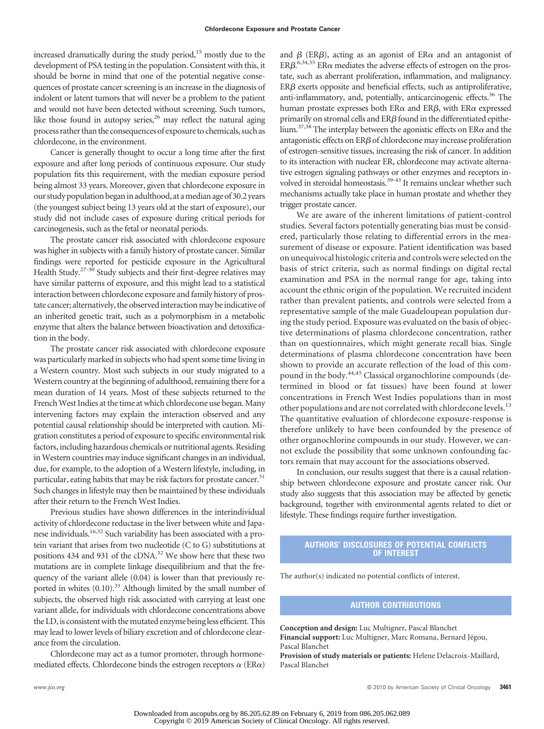increased dramatically during the study period,<sup>15</sup> mostly due to the development of PSA testing in the population. Consistent with this, it should be borne in mind that one of the potential negative consequences of prostate cancer screening is an increase in the diagnosis of indolent or latent tumors that will never be a problem to the patient and would not have been detected without screening. Such tumors, like those found in autopsy series, $26$  may reflect the natural aging process rather than the consequences of exposure to chemicals, such as chlordecone, in the environment.

Cancer is generally thought to occur a long time after the first exposure and after long periods of continuous exposure. Our study population fits this requirement, with the median exposure period being almost 33 years. Moreover, given that chlordecone exposure in our study population beganin adulthood, at amedian age of 30.2 years (the youngest subject being 13 years old at the start of exposure), our study did not include cases of exposure during critical periods for carcinogenesis, such as the fetal or neonatal periods.

The prostate cancer risk associated with chlordecone exposure was higher in subjects with a family history of prostate cancer. Similar findings were reported for pesticide exposure in the Agricultural Health Study.<sup>27-30</sup> Study subjects and their first-degree relatives may have similar patterns of exposure, and this might lead to a statistical interaction between chlordecone exposure and family history of prostate cancer; alternatively, the observed interaction may be indicative of an inherited genetic trait, such as a polymorphism in a metabolic enzyme that alters the balance between bioactivation and detoxification in the body.

The prostate cancer risk associated with chlordecone exposure was particularly marked in subjects who had spent some time living in a Western country. Most such subjects in our study migrated to a Western country at the beginning of adulthood, remaining there for a mean duration of 14 years. Most of these subjects returned to the French West Indies at the time at which chlordecone use began. Many intervening factors may explain the interaction observed and any potential causal relationship should be interpreted with caution. Migration constitutes a period of exposure to specific environmental risk factors, including hazardous chemicals or nutritional agents. Residing in Western countries may induce significant changes in an individual, due, for example, to the adoption of a Western lifestyle, including, in particular, eating habits that may be risk factors for prostate cancer.<sup>31</sup> Such changes in lifestyle may then be maintained by these individuals after their return to the French West Indies.

Previous studies have shown differences in the interindividual activity of chlordecone reductase in the liver between white and Japanese individuals.16,32 Such variability has been associated with a protein variant that arises from two nucleotide (C to G) substitutions at positions 434 and 931 of the cDNA.<sup>32</sup> We show here that these two mutations are in complete linkage disequilibrium and that the frequency of the variant allele (0.04) is lower than that previously reported in whites  $(0.10)$ .<sup>33</sup> Although limited by the small number of subjects, the observed high risk associated with carrying at least one variant allele, for individuals with chlordecone concentrations above the LD, is consistent with the mutated enzyme being less efficient. This may lead to lower levels of biliary excretion and of chlordecone clearance from the circulation.

Chlordecone may act as a tumor promoter, through hormonemediated effects. Chlordecone binds the estrogen receptors  $\alpha$  (ER $\alpha$ )

and  $\beta$  (ER $\beta$ ), acting as an agonist of ER $\alpha$  and an antagonist of ER $\beta$ .<sup>6,34,35</sup> ER $\alpha$  mediates the adverse effects of estrogen on the prostate, such as aberrant proliferation, inflammation, and malignancy.  $ER\beta$  exerts opposite and beneficial effects, such as antiproliferative, anti-inflammatory, and, potentially, anticarcinogenic effects.<sup>36</sup> The human prostate expresses both ER $\alpha$  and ER $\beta$ , with ER $\alpha$  expressed primarily on stromal cells and  $ER\beta$  found in the differentiated epithelium.<sup>37,38</sup> The interplay between the agonistic effects on  $ER\alpha$  and the antagonistic effects on  $ER\beta$  of chlordecone may increase proliferation of estrogen-sensitive tissues, increasing the risk of cancer. In addition to its interaction with nuclear ER, chlordecone may activate alternative estrogen signaling pathways or other enzymes and receptors involved in steroidal homeostasis.<sup>39-43</sup> It remains unclear whether such mechanisms actually take place in human prostate and whether they trigger prostate cancer.

We are aware of the inherent limitations of patient-control studies. Several factors potentially generating bias must be considered, particularly those relating to differential errors in the measurement of disease or exposure. Patient identification was based on unequivocal histologic criteria and controls were selected on the basis of strict criteria, such as normal findings on digital rectal examination and PSA in the normal range for age, taking into account the ethnic origin of the population. We recruited incident rather than prevalent patients, and controls were selected from a representative sample of the male Guadeloupean population during the study period. Exposure was evaluated on the basis of objective determinations of plasma chlordecone concentration, rather than on questionnaires, which might generate recall bias. Single determinations of plasma chlordecone concentration have been shown to provide an accurate reflection of the load of this compound in the body.44,45 Classical organochlorine compounds (determined in blood or fat tissues) have been found at lower concentrations in French West Indies populations than in most other populations and are not correlated with chlordecone levels.<sup>13</sup> The quantitative evaluation of chlordecone exposure-response is therefore unlikely to have been confounded by the presence of other organochlorine compounds in our study. However, we cannot exclude the possibility that some unknown confounding factors remain that may account for the associations observed.

In conclusion, our results suggest that there is a causal relationship between chlordecone exposure and prostate cancer risk. Our study also suggests that this association may be affected by genetic background, together with environmental agents related to diet or lifestyle. These findings require further investigation.

## **AUTHORS' DISCLOSURES OF POTENTIAL CONFLICTS OF INTEREST**

The author(s) indicated no potential conflicts of interest.

## **AUTHOR CONTRIBUTIONS**

**Conception and design:** Luc Multigner, Pascal Blanchet Financial support: Luc Multigner, Marc Romana, Bernard Jégou, Pascal Blanchet

**Provision of study materials or patients:** Helene Delacroix-Maillard, Pascal Blanchet